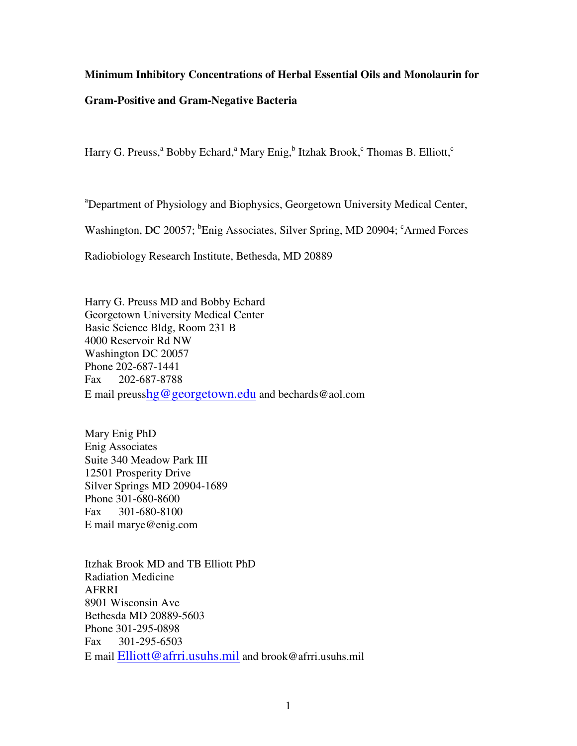# **Minimum Inhibitory Concentrations of Herbal Essential Oils and Monolaurin for**

# **Gram-Positive and Gram-Negative Bacteria**

Harry G. Preuss,<sup>a</sup> Bobby Echard,<sup>a</sup> Mary Enig,<sup>b</sup> Itzhak Brook,<sup>c</sup> Thomas B. Elliott,<sup>c</sup>

<sup>a</sup>Department of Physiology and Biophysics, Georgetown University Medical Center,

Washington, DC 20057; <sup>b</sup>Enig Associates, Silver Spring, MD 20904; <sup>c</sup>Armed Forces

Radiobiology Research Institute, Bethesda, MD 20889

Harry G. Preuss MD and Bobby Echard Georgetown University Medical Center Basic Science Bldg, Room 231 B 4000 Reservoir Rd NW Washington DC 20057 Phone 202-687-1441 Fax 202-687-8788 E mail preusshg@georgetown.edu and bechards@aol.com

Mary Enig PhD Enig Associates Suite 340 Meadow Park III 12501 Prosperity Drive Silver Springs MD 20904-1689 Phone 301-680-8600 Fax 301-680-8100 E mail marye@enig.com

Itzhak Brook MD and TB Elliott PhD Radiation Medicine AFRRI 8901 Wisconsin Ave Bethesda MD 20889-5603 Phone 301-295-0898 Fax 301-295-6503 E mail Elliott@afrri.usuhs.mil and brook@afrri.usuhs.mil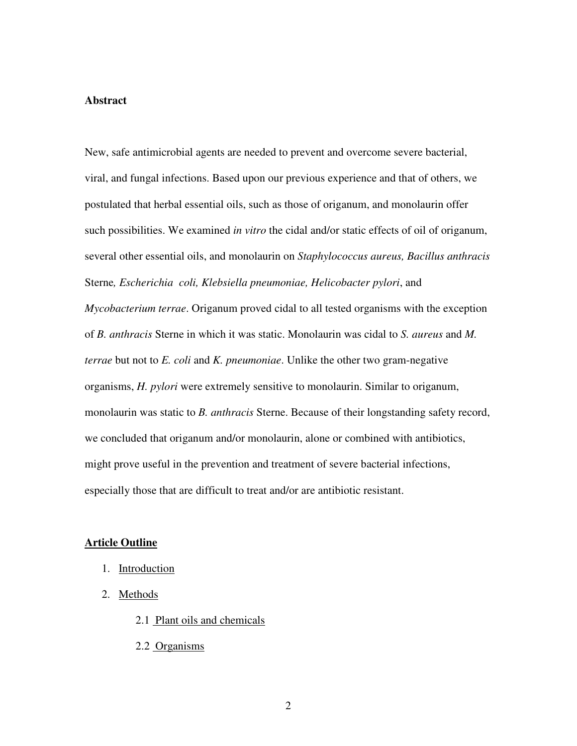# **Abstract**

New, safe antimicrobial agents are needed to prevent and overcome severe bacterial, viral, and fungal infections. Based upon our previous experience and that of others, we postulated that herbal essential oils, such as those of origanum, and monolaurin offer such possibilities. We examined *in vitro* the cidal and/or static effects of oil of origanum, several other essential oils, and monolaurin on *Staphylococcus aureus, Bacillus anthracis* Sterne*, Escherichia coli, Klebsiella pneumoniae, Helicobacter pylori*, and *Mycobacterium terrae*. Origanum proved cidal to all tested organisms with the exception of *B. anthracis* Sterne in which it was static. Monolaurin was cidal to *S. aureus* and *M. terrae* but not to *E. coli* and *K. pneumoniae*. Unlike the other two gram-negative organisms, *H. pylori* were extremely sensitive to monolaurin. Similar to origanum, monolaurin was static to *B. anthracis* Sterne. Because of their longstanding safety record, we concluded that origanum and/or monolaurin, alone or combined with antibiotics, might prove useful in the prevention and treatment of severe bacterial infections, especially those that are difficult to treat and/or are antibiotic resistant.

#### **Article Outline**

- 1. Introduction
- 2. Methods
	- 2.1 Plant oils and chemicals
	- 2.2 Organisms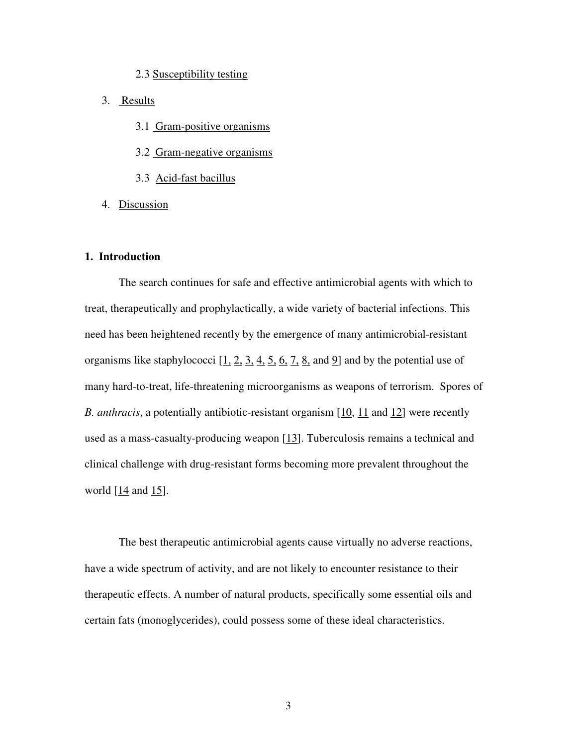### 2.3 Susceptibility testing

- 3. Results
	- 3.1 Gram-positive organisms
	- 3.2 Gram-negative organisms
	- 3.3 Acid-fast bacillus
- 4. Discussion

### **1. Introduction**

The search continues for safe and effective antimicrobial agents with which to treat, therapeutically and prophylactically, a wide variety of bacterial infections. This need has been heightened recently by the emergence of many antimicrobial-resistant organisms like staphylococci  $[1, 2, 3, 4, 5, 6, 7, 8,$  and 9 and by the potential use of many hard-to-treat, life-threatening microorganisms as weapons of terrorism. Spores of *B. anthracis*, a potentially antibiotic-resistant organism [10, 11 and 12] were recently used as a mass-casualty-producing weapon [13]. Tuberculosis remains a technical and clinical challenge with drug-resistant forms becoming more prevalent throughout the world [14 and 15].

The best therapeutic antimicrobial agents cause virtually no adverse reactions, have a wide spectrum of activity, and are not likely to encounter resistance to their therapeutic effects. A number of natural products, specifically some essential oils and certain fats (monoglycerides), could possess some of these ideal characteristics.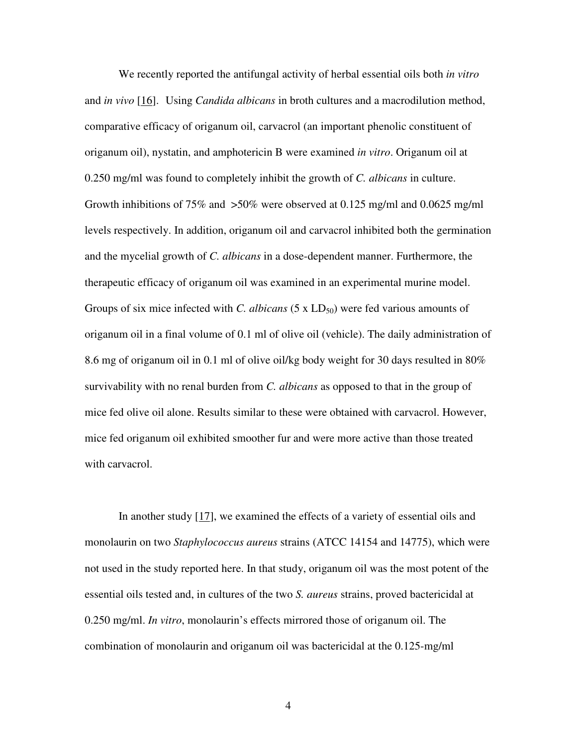We recently reported the antifungal activity of herbal essential oils both *in vitro* and *in vivo* [16]. Using *Candida albicans* in broth cultures and a macrodilution method, comparative efficacy of origanum oil, carvacrol (an important phenolic constituent of origanum oil), nystatin, and amphotericin B were examined *in vitro*. Origanum oil at 0.250 mg/ml was found to completely inhibit the growth of *C. albicans* in culture. Growth inhibitions of 75% and >50% were observed at 0.125 mg/ml and 0.0625 mg/ml levels respectively. In addition, origanum oil and carvacrol inhibited both the germination and the mycelial growth of *C. albicans* in a dose-dependent manner. Furthermore, the therapeutic efficacy of origanum oil was examined in an experimental murine model. Groups of six mice infected with *C. albicans* (5 x LD<sub>50</sub>) were fed various amounts of origanum oil in a final volume of 0.1 ml of olive oil (vehicle). The daily administration of 8.6 mg of origanum oil in 0.1 ml of olive oil/kg body weight for 30 days resulted in 80% survivability with no renal burden from *C. albicans* as opposed to that in the group of mice fed olive oil alone. Results similar to these were obtained with carvacrol. However, mice fed origanum oil exhibited smoother fur and were more active than those treated with carvacrol.

In another study [17], we examined the effects of a variety of essential oils and monolaurin on two *Staphylococcus aureus* strains (ATCC 14154 and 14775), which were not used in the study reported here. In that study, origanum oil was the most potent of the essential oils tested and, in cultures of the two *S. aureus* strains, proved bactericidal at 0.250 mg/ml. *In vitro*, monolaurin's effects mirrored those of origanum oil. The combination of monolaurin and origanum oil was bactericidal at the 0.125-mg/ml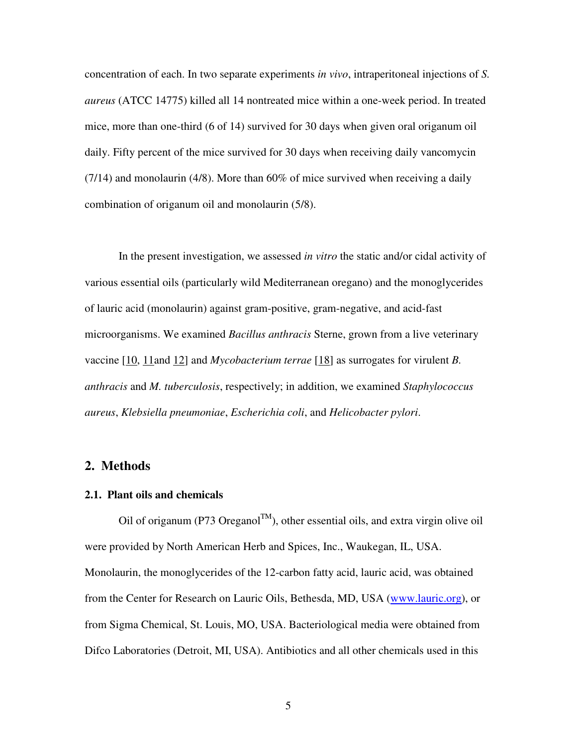concentration of each. In two separate experiments *in vivo*, intraperitoneal injections of *S. aureus* (ATCC 14775) killed all 14 nontreated mice within a one-week period. In treated mice, more than one-third (6 of 14) survived for 30 days when given oral origanum oil daily. Fifty percent of the mice survived for 30 days when receiving daily vancomycin (7/14) and monolaurin (4/8). More than 60% of mice survived when receiving a daily combination of origanum oil and monolaurin (5/8).

In the present investigation, we assessed *in vitro* the static and/or cidal activity of various essential oils (particularly wild Mediterranean oregano) and the monoglycerides of lauric acid (monolaurin) against gram-positive, gram-negative, and acid-fast microorganisms. We examined *Bacillus anthracis* Sterne, grown from a live veterinary vaccine [10, 11and 12] and *Mycobacterium terrae* [18] as surrogates for virulent *B. anthracis* and *M. tuberculosis*, respectively; in addition, we examined *Staphylococcus aureus*, *Klebsiella pneumoniae*, *Escherichia coli*, and *Helicobacter pylori*.

# **2. Methods**

#### **2.1. Plant oils and chemicals**

Oil of origanum (P73 Oreganol $^{TM}$ ), other essential oils, and extra virgin olive oil were provided by North American Herb and Spices, Inc., Waukegan, IL, USA. Monolaurin, the monoglycerides of the 12-carbon fatty acid, lauric acid, was obtained from the Center for Research on Lauric Oils, Bethesda, MD, USA (www.lauric.org), or from Sigma Chemical, St. Louis, MO, USA. Bacteriological media were obtained from Difco Laboratories (Detroit, MI, USA). Antibiotics and all other chemicals used in this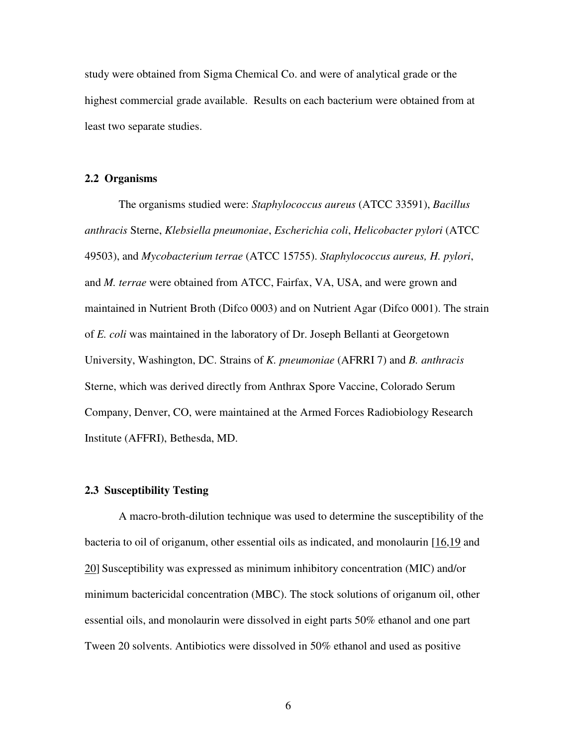study were obtained from Sigma Chemical Co. and were of analytical grade or the highest commercial grade available. Results on each bacterium were obtained from at least two separate studies.

### **2.2 Organisms**

The organisms studied were: *Staphylococcus aureus* (ATCC 33591), *Bacillus anthracis* Sterne, *Klebsiella pneumoniae*, *Escherichia coli*, *Helicobacter pylori* (ATCC 49503), and *Mycobacterium terrae* (ATCC 15755). *Staphylococcus aureus, H. pylori*, and *M. terrae* were obtained from ATCC, Fairfax, VA, USA, and were grown and maintained in Nutrient Broth (Difco 0003) and on Nutrient Agar (Difco 0001). The strain of *E. coli* was maintained in the laboratory of Dr. Joseph Bellanti at Georgetown University, Washington, DC. Strains of *K. pneumoniae* (AFRRI 7) and *B. anthracis* Sterne, which was derived directly from Anthrax Spore Vaccine, Colorado Serum Company, Denver, CO, were maintained at the Armed Forces Radiobiology Research Institute (AFFRI), Bethesda, MD.

### **2.3 Susceptibility Testing**

A macro-broth-dilution technique was used to determine the susceptibility of the bacteria to oil of origanum, other essential oils as indicated, and monolaurin  $[16,19]$  and 20] Susceptibility was expressed as minimum inhibitory concentration (MIC) and/or minimum bactericidal concentration (MBC). The stock solutions of origanum oil, other essential oils, and monolaurin were dissolved in eight parts 50% ethanol and one part Tween 20 solvents. Antibiotics were dissolved in 50% ethanol and used as positive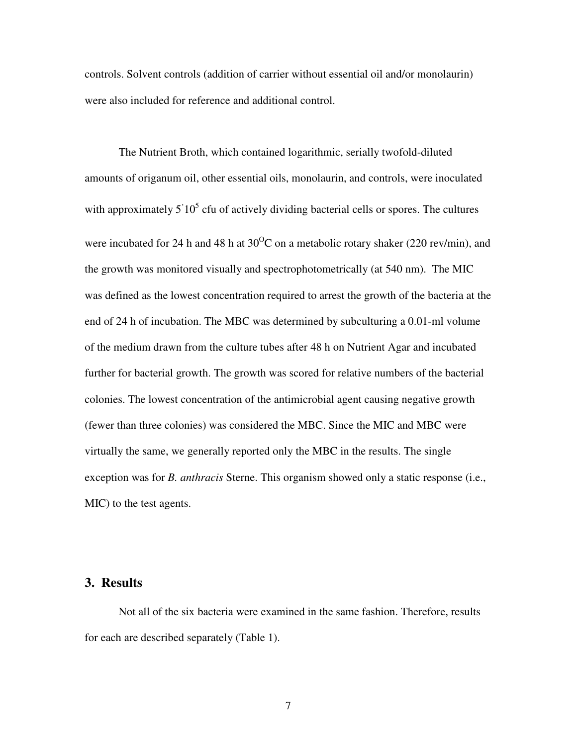controls. Solvent controls (addition of carrier without essential oil and/or monolaurin) were also included for reference and additional control.

The Nutrient Broth, which contained logarithmic, serially twofold-diluted amounts of origanum oil, other essential oils, monolaurin, and controls, were inoculated with approximately  $5'10^5$  cfu of actively dividing bacterial cells or spores. The cultures were incubated for 24 h and 48 h at  $30^{\circ}$ C on a metabolic rotary shaker (220 rev/min), and the growth was monitored visually and spectrophotometrically (at 540 nm). The MIC was defined as the lowest concentration required to arrest the growth of the bacteria at the end of 24 h of incubation. The MBC was determined by subculturing a 0.01-ml volume of the medium drawn from the culture tubes after 48 h on Nutrient Agar and incubated further for bacterial growth. The growth was scored for relative numbers of the bacterial colonies. The lowest concentration of the antimicrobial agent causing negative growth (fewer than three colonies) was considered the MBC. Since the MIC and MBC were virtually the same, we generally reported only the MBC in the results. The single exception was for *B. anthracis* Sterne. This organism showed only a static response (i.e., MIC) to the test agents.

# **3. Results**

Not all of the six bacteria were examined in the same fashion. Therefore, results for each are described separately (Table 1).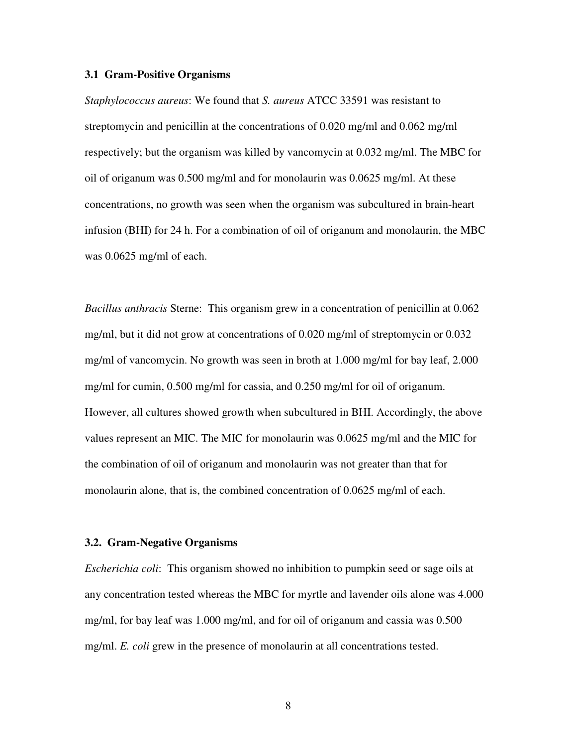#### **3.1 Gram-Positive Organisms**

*Staphylococcus aureus*: We found that *S. aureus* ATCC 33591 was resistant to streptomycin and penicillin at the concentrations of 0.020 mg/ml and 0.062 mg/ml respectively; but the organism was killed by vancomycin at 0.032 mg/ml. The MBC for oil of origanum was 0.500 mg/ml and for monolaurin was 0.0625 mg/ml. At these concentrations, no growth was seen when the organism was subcultured in brain-heart infusion (BHI) for 24 h. For a combination of oil of origanum and monolaurin, the MBC was 0.0625 mg/ml of each.

*Bacillus anthracis* Sterne: This organism grew in a concentration of penicillin at 0.062 mg/ml, but it did not grow at concentrations of 0.020 mg/ml of streptomycin or 0.032 mg/ml of vancomycin. No growth was seen in broth at 1.000 mg/ml for bay leaf, 2.000 mg/ml for cumin, 0.500 mg/ml for cassia, and 0.250 mg/ml for oil of origanum. However, all cultures showed growth when subcultured in BHI. Accordingly, the above values represent an MIC. The MIC for monolaurin was 0.0625 mg/ml and the MIC for the combination of oil of origanum and monolaurin was not greater than that for monolaurin alone, that is, the combined concentration of 0.0625 mg/ml of each.

#### **3.2. Gram-Negative Organisms**

*Escherichia coli*: This organism showed no inhibition to pumpkin seed or sage oils at any concentration tested whereas the MBC for myrtle and lavender oils alone was 4.000 mg/ml, for bay leaf was 1.000 mg/ml, and for oil of origanum and cassia was 0.500 mg/ml. *E. coli* grew in the presence of monolaurin at all concentrations tested.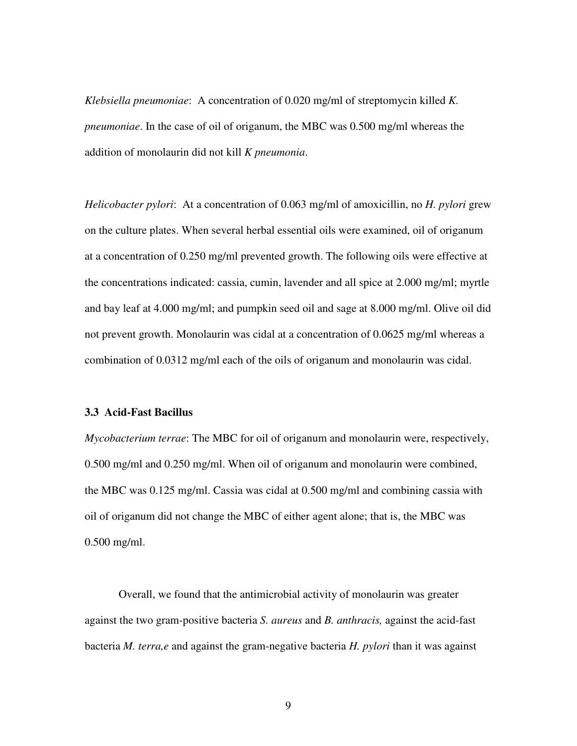*Klebsiella pneumoniae*: A concentration of 0.020 mg/ml of streptomycin killed *K. pneumoniae*. In the case of oil of origanum, the MBC was 0.500 mg/ml whereas the addition of monolaurin did not kill *K pneumonia*.

*Helicobacter pylori*: At a concentration of 0.063 mg/ml of amoxicillin, no *H. pylori* grew on the culture plates. When several herbal essential oils were examined, oil of origanum at a concentration of 0.250 mg/ml prevented growth. The following oils were effective at the concentrations indicated: cassia, cumin, lavender and all spice at 2.000 mg/ml; myrtle and bay leaf at 4.000 mg/ml; and pumpkin seed oil and sage at 8.000 mg/ml. Olive oil did not prevent growth. Monolaurin was cidal at a concentration of 0.0625 mg/ml whereas a combination of 0.0312 mg/ml each of the oils of origanum and monolaurin was cidal.

#### **3.3 Acid-Fast Bacillus**

*Mycobacterium terrae*: The MBC for oil of origanum and monolaurin were, respectively, 0.500 mg/ml and 0.250 mg/ml. When oil of origanum and monolaurin were combined, the MBC was 0.125 mg/ml. Cassia was cidal at 0.500 mg/ml and combining cassia with oil of origanum did not change the MBC of either agent alone; that is, the MBC was 0.500 mg/ml.

Overall, we found that the antimicrobial activity of monolaurin was greater against the two gram-positive bacteria *S. aureus* and *B. anthracis,* against the acid-fast bacteria *M. terra,e* and against the gram-negative bacteria *H. pylori* than it was against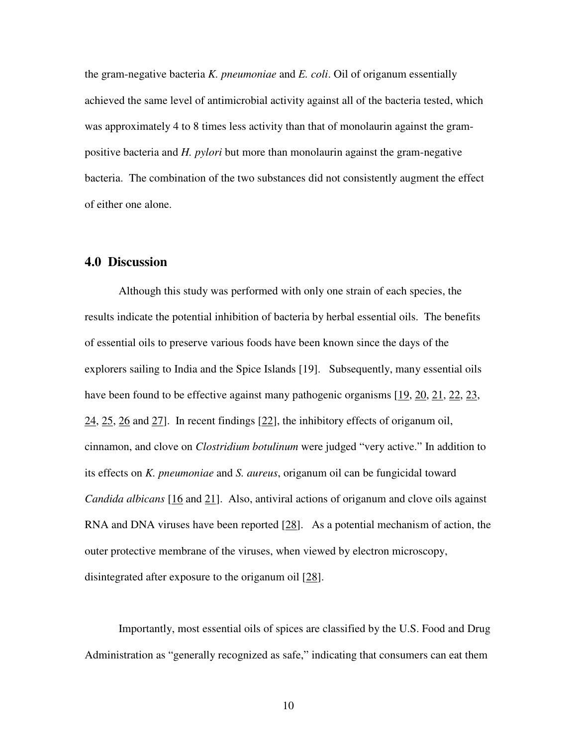the gram-negative bacteria *K. pneumoniae* and *E. coli*. Oil of origanum essentially achieved the same level of antimicrobial activity against all of the bacteria tested, which was approximately 4 to 8 times less activity than that of monolaurin against the grampositive bacteria and *H. pylori* but more than monolaurin against the gram-negative bacteria. The combination of the two substances did not consistently augment the effect of either one alone.

# **4.0 Discussion**

Although this study was performed with only one strain of each species, the results indicate the potential inhibition of bacteria by herbal essential oils. The benefits of essential oils to preserve various foods have been known since the days of the explorers sailing to India and the Spice Islands [19]. Subsequently, many essential oils have been found to be effective against many pathogenic organisms [19, 20, 21, 22, 23,  $24, 25, 26$  and  $27$ ]. In recent findings  $[22]$ , the inhibitory effects of origanum oil, cinnamon, and clove on *Clostridium botulinum* were judged "very active." In addition to its effects on *K. pneumoniae* and *S. aureus*, origanum oil can be fungicidal toward *Candida albicans* [16 and 21]. Also, antiviral actions of origanum and clove oils against RNA and DNA viruses have been reported [28]. As a potential mechanism of action, the outer protective membrane of the viruses, when viewed by electron microscopy, disintegrated after exposure to the origanum oil [28].

Importantly, most essential oils of spices are classified by the U.S. Food and Drug Administration as "generally recognized as safe," indicating that consumers can eat them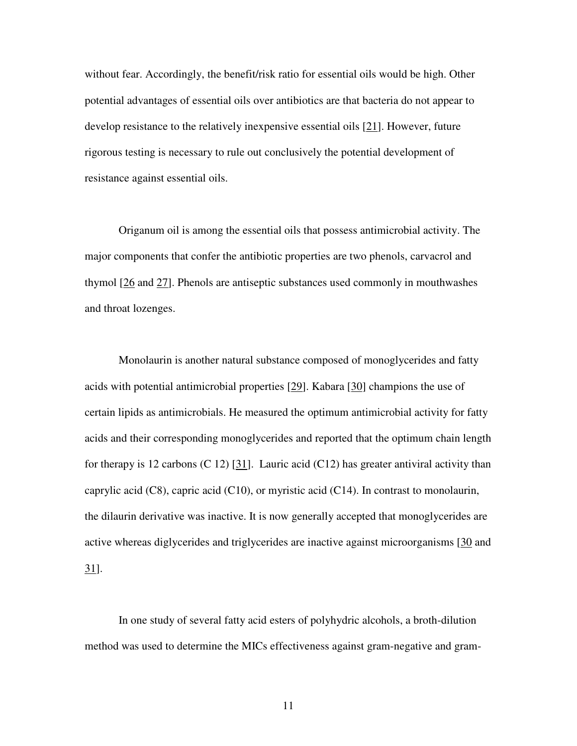without fear. Accordingly, the benefit/risk ratio for essential oils would be high. Other potential advantages of essential oils over antibiotics are that bacteria do not appear to develop resistance to the relatively inexpensive essential oils [21]. However, future rigorous testing is necessary to rule out conclusively the potential development of resistance against essential oils.

Origanum oil is among the essential oils that possess antimicrobial activity. The major components that confer the antibiotic properties are two phenols, carvacrol and thymol  $[26$  and  $27]$ . Phenols are antiseptic substances used commonly in mouthwashes and throat lozenges.

Monolaurin is another natural substance composed of monoglycerides and fatty acids with potential antimicrobial properties [29]. Kabara [30] champions the use of certain lipids as antimicrobials. He measured the optimum antimicrobial activity for fatty acids and their corresponding monoglycerides and reported that the optimum chain length for therapy is 12 carbons  $(C 12)$  [31]. Lauric acid  $(C12)$  has greater antiviral activity than caprylic acid (C8), capric acid (C10), or myristic acid (C14). In contrast to monolaurin, the dilaurin derivative was inactive. It is now generally accepted that monoglycerides are active whereas diglycerides and triglycerides are inactive against microorganisms [30 and 31].

In one study of several fatty acid esters of polyhydric alcohols, a broth-dilution method was used to determine the MICs effectiveness against gram-negative and gram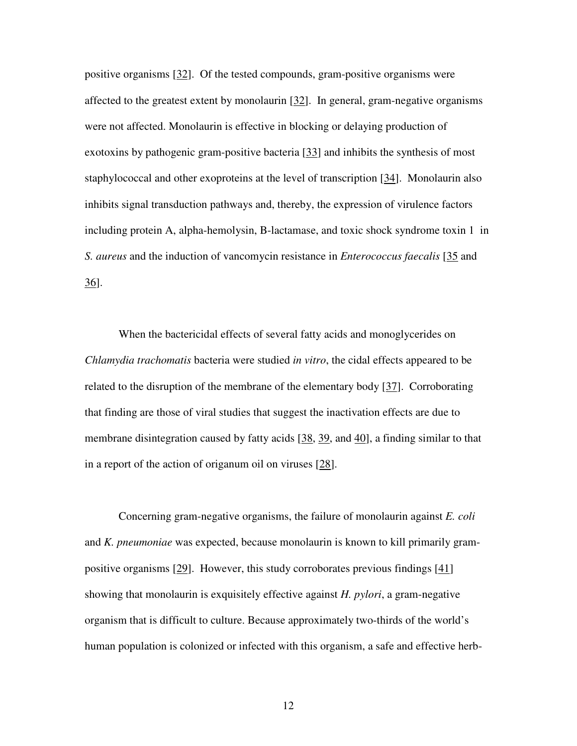positive organisms [32]. Of the tested compounds, gram-positive organisms were affected to the greatest extent by monolaurin [32]. In general, gram-negative organisms were not affected. Monolaurin is effective in blocking or delaying production of exotoxins by pathogenic gram-positive bacteria [33] and inhibits the synthesis of most staphylococcal and other exoproteins at the level of transcription [34]. Monolaurin also inhibits signal transduction pathways and, thereby, the expression of virulence factors including protein A, alpha-hemolysin, B-lactamase, and toxic shock syndrome toxin 1 in *S. aureus* and the induction of vancomycin resistance in *Enterococcus faecalis* [35 and 36].

When the bactericidal effects of several fatty acids and monoglycerides on *Chlamydia trachomatis* bacteria were studied *in vitro*, the cidal effects appeared to be related to the disruption of the membrane of the elementary body  $[37]$ . Corroborating that finding are those of viral studies that suggest the inactivation effects are due to membrane disintegration caused by fatty acids [38, 39, and 40], a finding similar to that in a report of the action of origanum oil on viruses [28].

Concerning gram-negative organisms, the failure of monolaurin against *E. coli* and *K. pneumoniae* was expected, because monolaurin is known to kill primarily grampositive organisms [29]. However, this study corroborates previous findings [41] showing that monolaurin is exquisitely effective against *H. pylori*, a gram-negative organism that is difficult to culture. Because approximately two-thirds of the world's human population is colonized or infected with this organism, a safe and effective herb-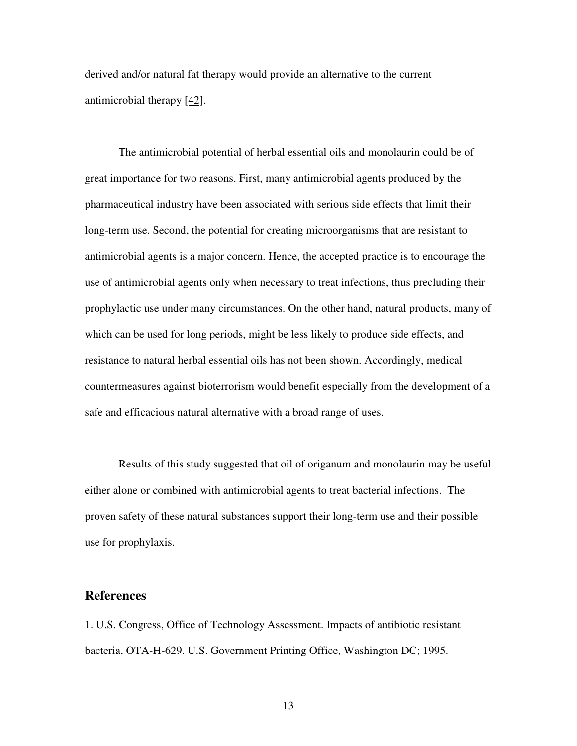derived and/or natural fat therapy would provide an alternative to the current antimicrobial therapy [42].

The antimicrobial potential of herbal essential oils and monolaurin could be of great importance for two reasons. First, many antimicrobial agents produced by the pharmaceutical industry have been associated with serious side effects that limit their long-term use. Second, the potential for creating microorganisms that are resistant to antimicrobial agents is a major concern. Hence, the accepted practice is to encourage the use of antimicrobial agents only when necessary to treat infections, thus precluding their prophylactic use under many circumstances. On the other hand, natural products, many of which can be used for long periods, might be less likely to produce side effects, and resistance to natural herbal essential oils has not been shown. Accordingly, medical countermeasures against bioterrorism would benefit especially from the development of a safe and efficacious natural alternative with a broad range of uses.

Results of this study suggested that oil of origanum and monolaurin may be useful either alone or combined with antimicrobial agents to treat bacterial infections. The proven safety of these natural substances support their long-term use and their possible use for prophylaxis.

# **References**

1. U.S. Congress, Office of Technology Assessment. Impacts of antibiotic resistant bacteria, OTA-H-629. U.S. Government Printing Office, Washington DC; 1995.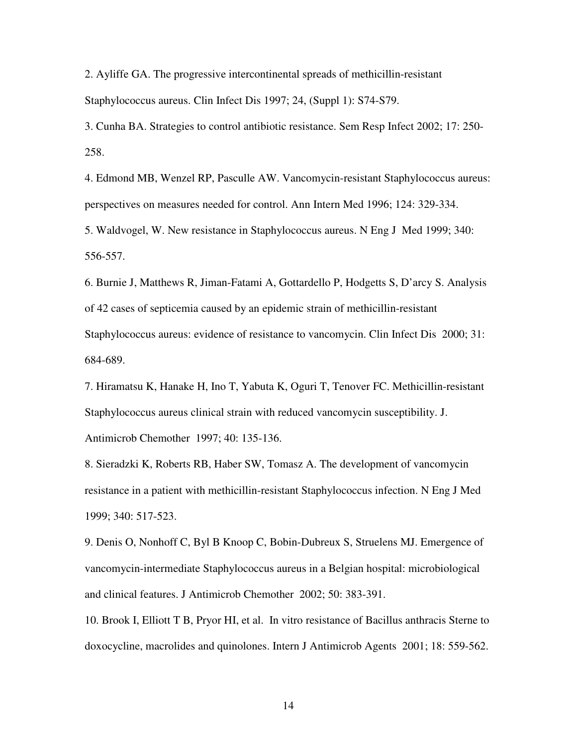2. Ayliffe GA. The progressive intercontinental spreads of methicillin-resistant Staphylococcus aureus. Clin Infect Dis 1997; 24, (Suppl 1): S74-S79.

3. Cunha BA. Strategies to control antibiotic resistance. Sem Resp Infect 2002; 17: 250- 258.

4. Edmond MB, Wenzel RP, Pasculle AW. Vancomycin-resistant Staphylococcus aureus: perspectives on measures needed for control. Ann Intern Med 1996; 124: 329-334.

5. Waldvogel, W. New resistance in Staphylococcus aureus. N Eng J Med 1999; 340: 556-557.

6. Burnie J, Matthews R, Jiman-Fatami A, Gottardello P, Hodgetts S, D'arcy S. Analysis of 42 cases of septicemia caused by an epidemic strain of methicillin-resistant Staphylococcus aureus: evidence of resistance to vancomycin. Clin Infect Dis 2000; 31: 684-689.

7. Hiramatsu K, Hanake H, Ino T, Yabuta K, Oguri T, Tenover FC. Methicillin-resistant Staphylococcus aureus clinical strain with reduced vancomycin susceptibility. J. Antimicrob Chemother 1997; 40: 135-136.

8. Sieradzki K, Roberts RB, Haber SW, Tomasz A. The development of vancomycin resistance in a patient with methicillin-resistant Staphylococcus infection. N Eng J Med 1999; 340: 517-523.

9. Denis O, Nonhoff C, Byl B Knoop C, Bobin-Dubreux S, Struelens MJ. Emergence of vancomycin-intermediate Staphylococcus aureus in a Belgian hospital: microbiological and clinical features. J Antimicrob Chemother 2002; 50: 383-391.

10. Brook I, Elliott T B, Pryor HI, et al. In vitro resistance of Bacillus anthracis Sterne to doxocycline, macrolides and quinolones. Intern J Antimicrob Agents 2001; 18: 559-562.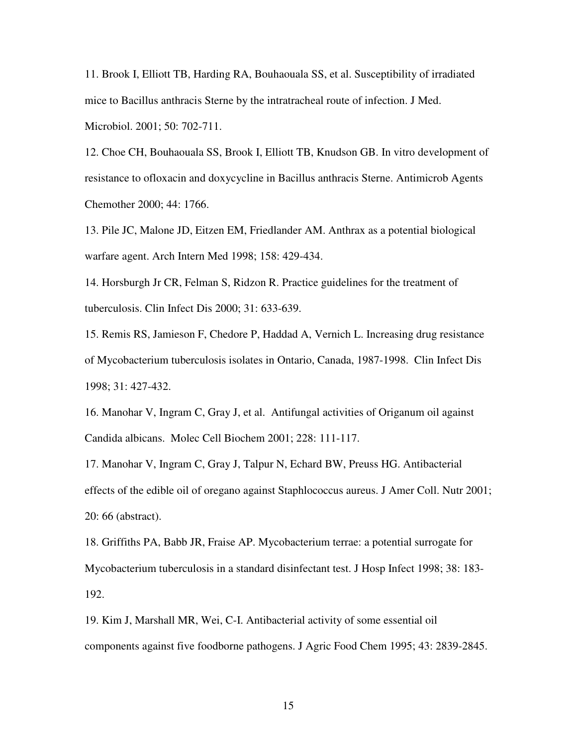11. Brook I, Elliott TB, Harding RA, Bouhaouala SS, et al. Susceptibility of irradiated mice to Bacillus anthracis Sterne by the intratracheal route of infection. J Med. Microbiol. 2001; 50: 702-711.

12. Choe CH, Bouhaouala SS, Brook I, Elliott TB, Knudson GB. In vitro development of resistance to ofloxacin and doxycycline in Bacillus anthracis Sterne. Antimicrob Agents Chemother 2000; 44: 1766.

13. Pile JC, Malone JD, Eitzen EM, Friedlander AM. Anthrax as a potential biological warfare agent. Arch Intern Med 1998; 158: 429-434.

14. Horsburgh Jr CR, Felman S, Ridzon R. Practice guidelines for the treatment of tuberculosis. Clin Infect Dis 2000; 31: 633-639.

15. Remis RS, Jamieson F, Chedore P, Haddad A, Vernich L. Increasing drug resistance of Mycobacterium tuberculosis isolates in Ontario, Canada, 1987-1998. Clin Infect Dis 1998; 31: 427-432.

16. Manohar V, Ingram C, Gray J, et al. Antifungal activities of Origanum oil against Candida albicans. Molec Cell Biochem 2001; 228: 111-117.

17. Manohar V, Ingram C, Gray J, Talpur N, Echard BW, Preuss HG. Antibacterial effects of the edible oil of oregano against Staphlococcus aureus. J Amer Coll. Nutr 2001; 20: 66 (abstract).

18. Griffiths PA, Babb JR, Fraise AP. Mycobacterium terrae: a potential surrogate for Mycobacterium tuberculosis in a standard disinfectant test. J Hosp Infect 1998; 38: 183- 192.

19. Kim J, Marshall MR, Wei, C-I. Antibacterial activity of some essential oil components against five foodborne pathogens. J Agric Food Chem 1995; 43: 2839-2845.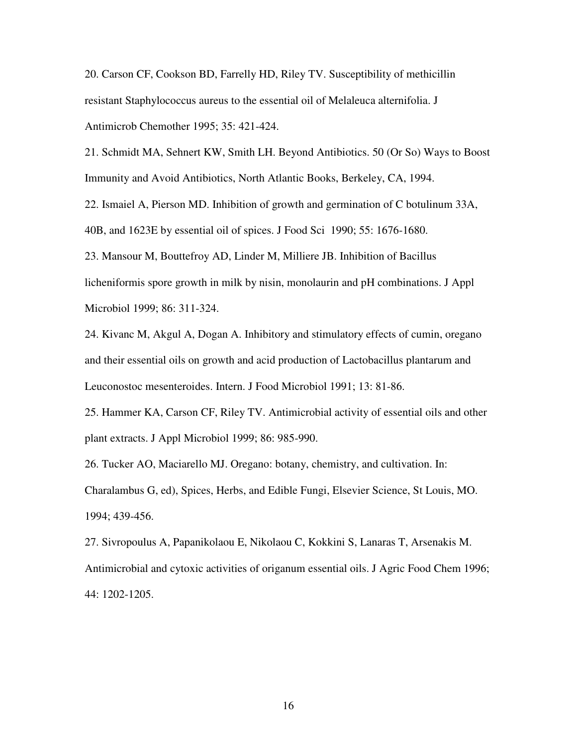20. Carson CF, Cookson BD, Farrelly HD, Riley TV. Susceptibility of methicillin resistant Staphylococcus aureus to the essential oil of Melaleuca alternifolia. J Antimicrob Chemother 1995; 35: 421-424.

21. Schmidt MA, Sehnert KW, Smith LH. Beyond Antibiotics. 50 (Or So) Ways to Boost Immunity and Avoid Antibiotics, North Atlantic Books, Berkeley, CA, 1994.

22. Ismaiel A, Pierson MD. Inhibition of growth and germination of C botulinum 33A, 40B, and 1623E by essential oil of spices. J Food Sci 1990; 55: 1676-1680.

23. Mansour M, Bouttefroy AD, Linder M, Milliere JB. Inhibition of Bacillus licheniformis spore growth in milk by nisin, monolaurin and pH combinations. J Appl Microbiol 1999; 86: 311-324.

24. Kivanc M, Akgul A, Dogan A. Inhibitory and stimulatory effects of cumin, oregano and their essential oils on growth and acid production of Lactobacillus plantarum and Leuconostoc mesenteroides. Intern. J Food Microbiol 1991; 13: 81-86.

25. Hammer KA, Carson CF, Riley TV. Antimicrobial activity of essential oils and other plant extracts. J Appl Microbiol 1999; 86: 985-990.

26. Tucker AO, Maciarello MJ. Oregano: botany, chemistry, and cultivation. In: Charalambus G, ed), Spices, Herbs, and Edible Fungi, Elsevier Science, St Louis, MO. 1994; 439-456.

27. Sivropoulus A, Papanikolaou E, Nikolaou C, Kokkini S, Lanaras T, Arsenakis M. Antimicrobial and cytoxic activities of origanum essential oils. J Agric Food Chem 1996; 44: 1202-1205.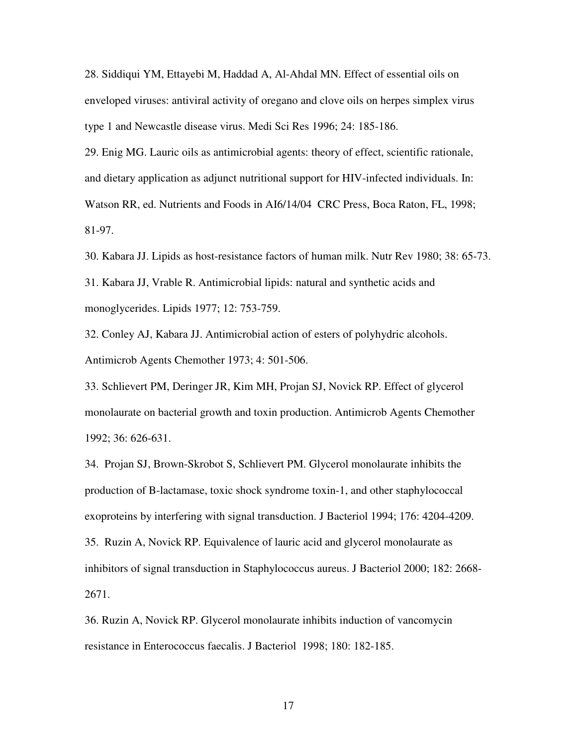28. Siddiqui YM, Ettayebi M, Haddad A, Al-Ahdal MN. Effect of essential oils on enveloped viruses: antiviral activity of oregano and clove oils on herpes simplex virus type 1 and Newcastle disease virus. Medi Sci Res 1996; 24: 185-186.

29. Enig MG. Lauric oils as antimicrobial agents: theory of effect, scientific rationale, and dietary application as adjunct nutritional support for HIV-infected individuals. In: Watson RR, ed. Nutrients and Foods in AI6/14/04 CRC Press, Boca Raton, FL, 1998; 81-97.

30. Kabara JJ. Lipids as host-resistance factors of human milk. Nutr Rev 1980; 38: 65-73.

31. Kabara JJ, Vrable R. Antimicrobial lipids: natural and synthetic acids and monoglycerides. Lipids 1977; 12: 753-759.

32. Conley AJ, Kabara JJ. Antimicrobial action of esters of polyhydric alcohols. Antimicrob Agents Chemother 1973; 4: 501-506.

33. Schlievert PM, Deringer JR, Kim MH, Projan SJ, Novick RP. Effect of glycerol monolaurate on bacterial growth and toxin production. Antimicrob Agents Chemother 1992; 36: 626-631.

34. Projan SJ, Brown-Skrobot S, Schlievert PM. Glycerol monolaurate inhibits the production of B-lactamase, toxic shock syndrome toxin-1, and other staphylococcal exoproteins by interfering with signal transduction. J Bacteriol 1994; 176: 4204-4209.

35. Ruzin A, Novick RP. Equivalence of lauric acid and glycerol monolaurate as inhibitors of signal transduction in Staphylococcus aureus. J Bacteriol 2000; 182: 2668- 2671.

36. Ruzin A, Novick RP. Glycerol monolaurate inhibits induction of vancomycin resistance in Enterococcus faecalis. J Bacteriol 1998; 180: 182-185.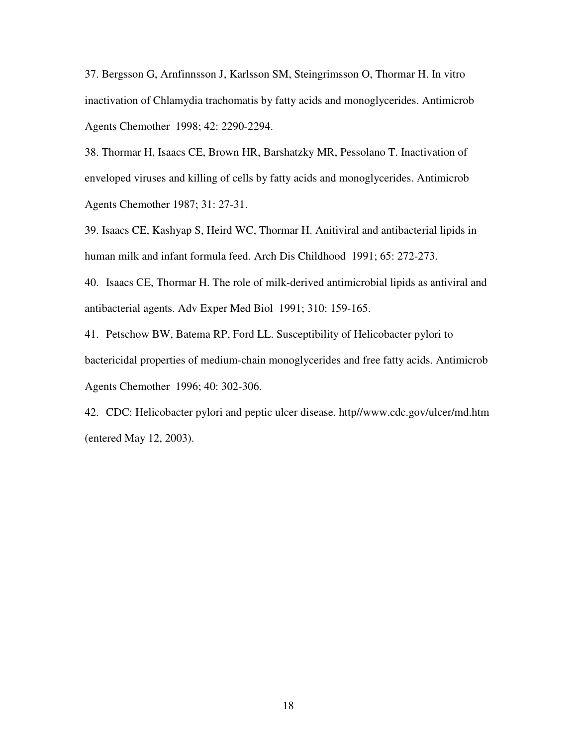37. Bergsson G, Arnfinnsson J, Karlsson SM, Steingrimsson O, Thormar H. In vitro inactivation of Chlamydia trachomatis by fatty acids and monoglycerides. Antimicrob Agents Chemother 1998; 42: 2290-2294.

38. Thormar H, Isaacs CE, Brown HR, Barshatzky MR, Pessolano T. Inactivation of enveloped viruses and killing of cells by fatty acids and monoglycerides. Antimicrob Agents Chemother 1987; 31: 27-31.

39. Isaacs CE, Kashyap S, Heird WC, Thormar H. Anitiviral and antibacterial lipids in human milk and infant formula feed. Arch Dis Childhood 1991; 65: 272-273.

40. Isaacs CE, Thormar H. The role of milk-derived antimicrobial lipids as antiviral and antibacterial agents. Adv Exper Med Biol 1991; 310: 159-165.

41. Petschow BW, Batema RP, Ford LL. Susceptibility of Helicobacter pylori to bactericidal properties of medium-chain monoglycerides and free fatty acids. Antimicrob Agents Chemother 1996; 40: 302-306.

42. CDC: Helicobacter pylori and peptic ulcer disease. http//www.cdc.gov/ulcer/md.htm (entered May 12, 2003).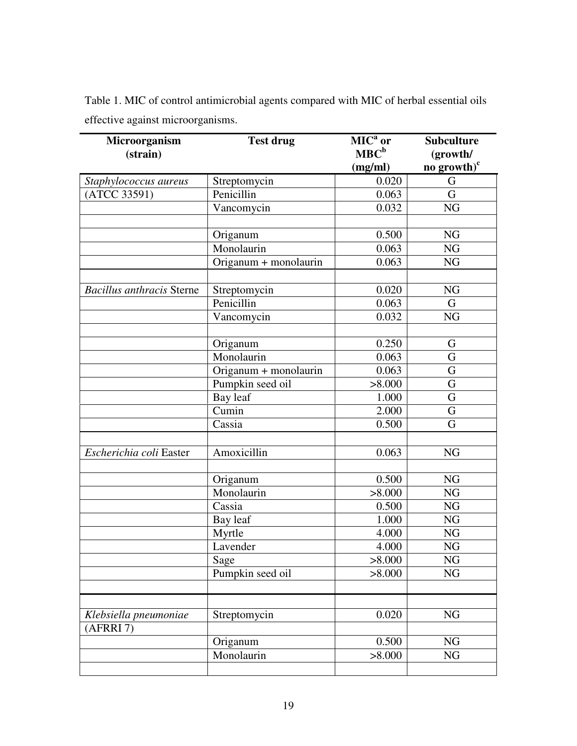| Microorganism<br>(strain)             | <b>Test drug</b>           | MIC <sup>a</sup> or<br>$MBC^b$<br>(mg/ml) | <b>Subculture</b><br>(growth/<br>no $growth$ <sup>c</sup> |
|---------------------------------------|----------------------------|-------------------------------------------|-----------------------------------------------------------|
|                                       |                            | 0.020                                     | G                                                         |
| Staphylococcus aureus<br>(ATCC 33591) | Streptomycin<br>Penicillin | 0.063                                     | G                                                         |
|                                       | Vancomycin                 | 0.032                                     | NG                                                        |
|                                       |                            |                                           |                                                           |
|                                       | Origanum                   | 0.500                                     | <b>NG</b>                                                 |
|                                       | Monolaurin                 | 0.063                                     | NG                                                        |
|                                       | Origanum + monolaurin      | 0.063                                     | NG                                                        |
|                                       |                            |                                           |                                                           |
| <b>Bacillus anthracis Sterne</b>      | Streptomycin               | 0.020                                     | NG                                                        |
|                                       | Penicillin                 | 0.063                                     | $\mathbf G$                                               |
|                                       | Vancomycin                 | 0.032                                     | NG                                                        |
|                                       | Origanum                   | 0.250                                     | G                                                         |
|                                       | Monolaurin                 | 0.063                                     | $\mathbf G$                                               |
|                                       | Origanum + monolaurin      | 0.063                                     | G                                                         |
|                                       | Pumpkin seed oil           | >8.000                                    | G                                                         |
|                                       | Bay leaf                   | 1.000                                     | G                                                         |
|                                       | Cumin                      | 2.000                                     | G                                                         |
|                                       | Cassia                     | 0.500                                     | G                                                         |
|                                       |                            |                                           |                                                           |
| Escherichia coli Easter               | Amoxicillin                | 0.063                                     | NG                                                        |
|                                       | Origanum                   | 0.500                                     | NG                                                        |
|                                       | Monolaurin                 | >8.000                                    | NG                                                        |
|                                       | Cassia                     | 0.500                                     | NG                                                        |
|                                       | Bay leaf                   | 1.000                                     | $\rm NG$                                                  |
|                                       | Myrtle                     | 4.000                                     | NG                                                        |
|                                       | Lavender                   | 4.000                                     | <b>NG</b>                                                 |
|                                       | Sage                       | >8.000                                    | NG                                                        |
|                                       | Pumpkin seed oil           | >8.000                                    | NG                                                        |
|                                       |                            |                                           |                                                           |
| Klebsiella pneumoniae<br>(AFRRI 7)    | Streptomycin               | 0.020                                     | NG                                                        |
|                                       | Origanum                   | 0.500                                     | NG                                                        |
|                                       | Monolaurin                 | >8.000                                    | NG                                                        |
|                                       |                            |                                           |                                                           |

Table 1. MIC of control antimicrobial agents compared with MIC of herbal essential oils effective against microorganisms.